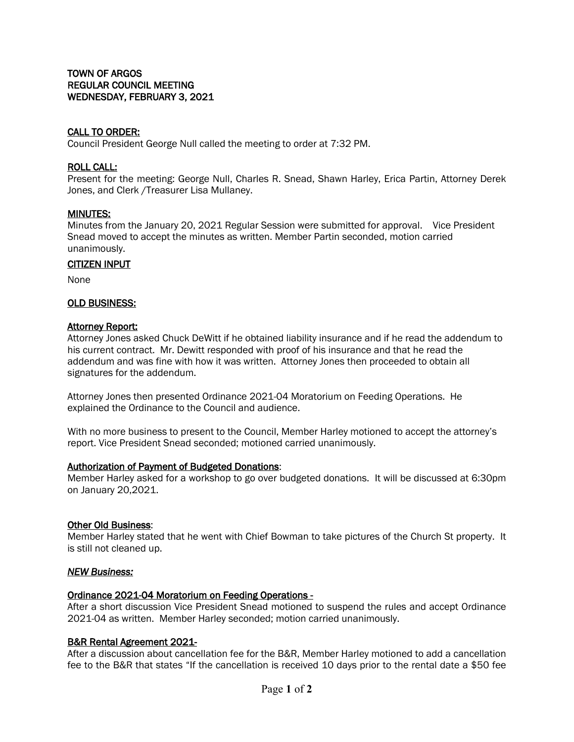## CALL TO ORDER:

Council President George Null called the meeting to order at 7:32 PM.

### ROLL CALL:

Present for the meeting: George Null, Charles R. Snead, Shawn Harley, Erica Partin, Attorney Derek Jones, and Clerk /Treasurer Lisa Mullaney.

### MINUTES:

Minutes from the January 20, 2021 Regular Session were submitted for approval. Vice President Snead moved to accept the minutes as written. Member Partin seconded, motion carried unanimously.

### CITIZEN INPUT

None

### OLD BUSINESS:

### Attorney Report:

Attorney Jones asked Chuck DeWitt if he obtained liability insurance and if he read the addendum to his current contract. Mr. Dewitt responded with proof of his insurance and that he read the addendum and was fine with how it was written. Attorney Jones then proceeded to obtain all signatures for the addendum.

Attorney Jones then presented Ordinance 2021-04 Moratorium on Feeding Operations. He explained the Ordinance to the Council and audience.

With no more business to present to the Council, Member Harley motioned to accept the attorney's report. Vice President Snead seconded; motioned carried unanimously.

#### Authorization of Payment of Budgeted Donations:

Member Harley asked for a workshop to go over budgeted donations. It will be discussed at 6:30pm on January 20,2021.

### Other Old Business:

Member Harley stated that he went with Chief Bowman to take pictures of the Church St property. It is still not cleaned up.

### *NEW Business:*

## Ordinance 2021-04 Moratorium on Feeding Operations -

After a short discussion Vice President Snead motioned to suspend the rules and accept Ordinance 2021-04 as written. Member Harley seconded; motion carried unanimously.

## B&R Rental Agreement 2021-

After a discussion about cancellation fee for the B&R, Member Harley motioned to add a cancellation fee to the B&R that states "If the cancellation is received 10 days prior to the rental date a \$50 fee